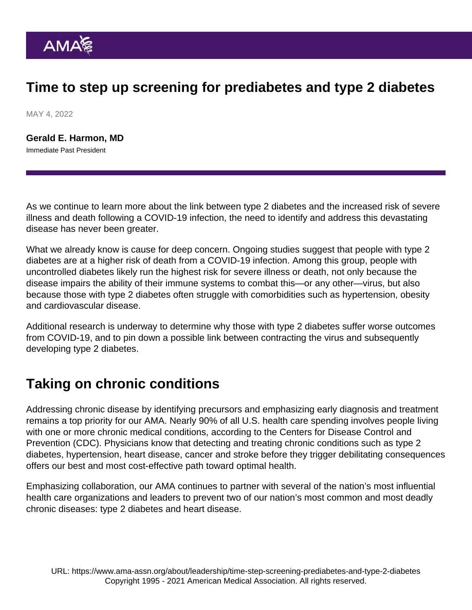# Time to step up screening for prediabetes and type 2 diabetes

MAY 4, 2022

[Gerald E. Harmon, MD](https://www.ama-assn.org/about/board-trustees/gerald-e-harmon-md) Immediate Past President

As we continue to learn more about the link between type 2 diabetes and the increased risk of severe illness and death following a COVID-19 infection, the need to identify and address this devastating disease has never been greater.

What we already know is cause for deep concern. Ongoing studies suggest that people with type 2 diabetes are at a higher risk of death from a COVID-19 infection. Among this group, people with uncontrolled diabetes likely run the highest risk for severe illness or death, not only because the disease impairs the ability of their immune systems to combat this—or any other—virus, but also because those with type 2 diabetes often struggle with comorbidities such as hypertension, obesity and cardiovascular disease.

Additional research is underway to determine why those with type 2 diabetes suffer worse outcomes from COVID-19, and to pin down a possible link between contracting the virus and subsequently developing type 2 diabetes.

## Taking on chronic conditions

Addressing chronic disease by identifying precursors and emphasizing early diagnosis and treatment remains a top priority for our AMA. Nearly 90% of all U.S. health care spending involves people living with one or more chronic medical conditions, according to the Centers for Disease Control and Prevention (CDC). Physicians know that detecting and treating chronic conditions such as type 2 diabetes, hypertension, heart disease, cancer and stroke before they trigger debilitating consequences offers our best and most cost-effective path toward optimal health.

Emphasizing collaboration, our AMA continues to partner with several of the nation's most influential health care organizations and leaders to prevent two of our nation's most common and most deadly chronic diseases: type 2 diabetes and heart disease.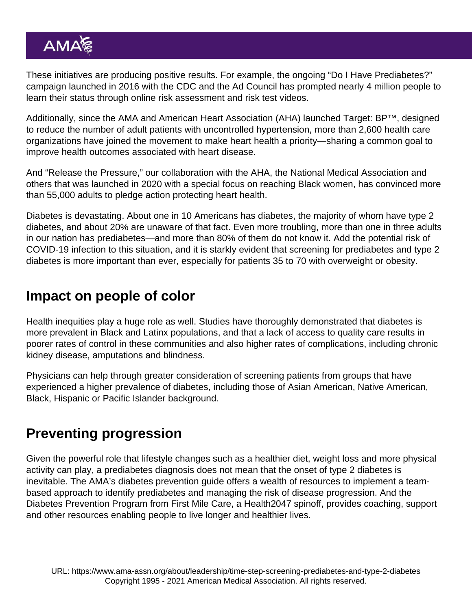These initiatives are producing positive results. For example, the ongoing ["Do I Have Prediabetes?"](https://doihaveprediabetes.org/) [campaign](https://doihaveprediabetes.org/) launched in 2016 with the CDC and the Ad Council has prompted nearly 4 million people to learn their status through online risk assessment and risk test videos.

Additionally, since the AMA and American Heart Association (AHA) launched [Target: BP™,](http://www.targetbp.org) designed to reduce the number of adult patients with uncontrolled hypertension, more than 2,600 health care organizations have joined the movement to make heart health a priority—sharing a common goal to improve health outcomes associated with heart disease.

And "[Release the Pressure](https://releasethepressure.org/)," our collaboration with the AHA, the National Medical Association and others that was launched in 2020 with a special focus on reaching Black women, has convinced more than 55,000 adults to pledge action protecting heart health.

Diabetes is devastating. About one in 10 Americans has diabetes, the majority of whom have type 2 diabetes, and about 20% are unaware of that fact. Even more troubling, more than one in three adults in our nation has prediabetes—and more than 80% of them do not know it. Add the potential risk of COVID-19 infection to this situation, and it is starkly evident that screening for prediabetes and type 2 diabetes is more important than ever, especially for patients 35 to 70 with overweight or obesity.

#### Impact on people of color

Health inequities play a huge role as well. Studies have thoroughly demonstrated that diabetes is more prevalent in Black and Latinx populations, and that a lack of access to quality care results in poorer rates of control in these communities and also higher rates of complications, including chronic kidney disease, amputations and blindness.

Physicians can help through greater consideration of screening patients from groups that have experienced a higher prevalence of diabetes, including those of Asian American, Native American, Black, Hispanic or Pacific Islander background.

## Preventing progression

Given the powerful role that lifestyle changes such as a healthier diet, weight loss and more physical activity can play, a prediabetes diagnosis does not mean that the onset of type 2 diabetes is inevitable. The AMA's [diabetes prevention guide](https://www.amapreventdiabetes.org/) offers a wealth of resources to implement a teambased approach to identify prediabetes and managing the risk of disease progression. And the Diabetes Prevention Program from [First Mile Care](https://firstmilecare.com/), a Health2047 spinoff, provides coaching, support and other resources enabling people to live longer and healthier lives.